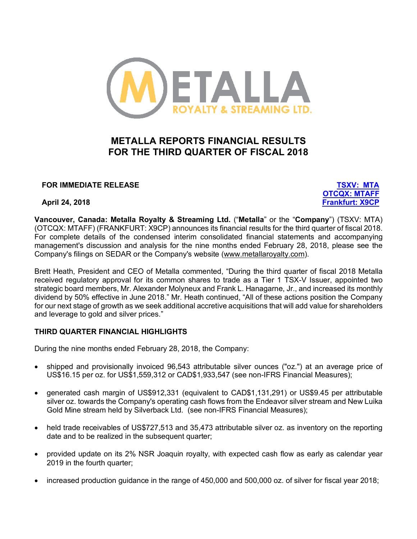

# **METALLA REPORTS FINANCIAL RESULTS FOR THE THIRD QUARTER OF FISCAL 2018**

# **FOR IMMEDIATE RELEASE TSXV: MTA**

**OTCQX: MTAFF April 24, 2018 Frankfurt: X9CP**

**Vancouver, Canada: Metalla Royalty & Streaming Ltd.** ("**Metalla**" or the "**Company**") (TSXV: MTA) (OTCQX: MTAFF) (FRANKFURT: X9CP) announces its financial results for the third quarter of fiscal 2018. For complete details of the condensed interim consolidated financial statements and accompanying management's discussion and analysis for the nine months ended February 28, 2018, please see the Company's filings on SEDAR or the Company's website (www.metallaroyalty.com).

Brett Heath, President and CEO of Metalla commented, "During the third quarter of fiscal 2018 Metalla received regulatory approval for its common shares to trade as a Tier 1 TSX-V Issuer, appointed two strategic board members, Mr. Alexander Molyneux and Frank L. Hanagarne, Jr., and increased its monthly dividend by 50% effective in June 2018." Mr. Heath continued, "All of these actions position the Company for our next stage of growth as we seek additional accretive acquisitions that will add value for shareholders and leverage to gold and silver prices."

# **THIRD QUARTER FINANCIAL HIGHLIGHTS**

During the nine months ended February 28, 2018, the Company:

- shipped and provisionally invoiced 96,543 attributable silver ounces ("oz.") at an average price of US\$16.15 per oz. for US\$1,559,312 or CAD\$1,933,547 (see non-IFRS Financial Measures);
- generated cash margin of US\$912,331 (equivalent to CAD\$1,131,291) or US\$9.45 per attributable silver oz. towards the Company's operating cash flows from the Endeavor silver stream and New Luika Gold Mine stream held by Silverback Ltd. (see non-IFRS Financial Measures);
- held trade receivables of US\$727,513 and 35,473 attributable silver oz. as inventory on the reporting date and to be realized in the subsequent quarter;
- provided update on its 2% NSR Joaquin royalty, with expected cash flow as early as calendar year 2019 in the fourth quarter;
- increased production guidance in the range of 450,000 and 500,000 oz. of silver for fiscal year 2018;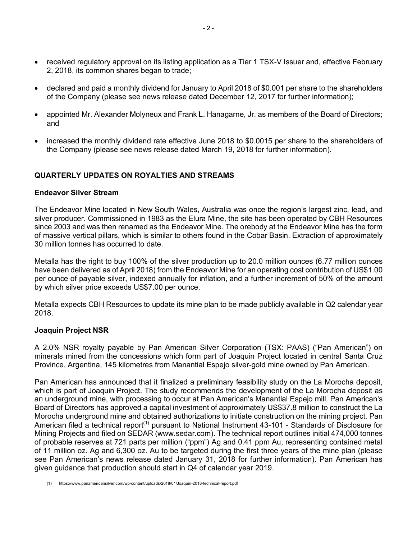- received regulatory approval on its listing application as a Tier 1 TSX-V Issuer and, effective February 2, 2018, its common shares began to trade;
- declared and paid a monthly dividend for January to April 2018 of \$0.001 per share to the shareholders of the Company (please see news release dated December 12, 2017 for further information);
- appointed Mr. Alexander Molyneux and Frank L. Hanagarne, Jr. as members of the Board of Directors; and
- increased the monthly dividend rate effective June 2018 to \$0.0015 per share to the shareholders of the Company (please see news release dated March 19, 2018 for further information).

### **QUARTERLY UPDATES ON ROYALTIES AND STREAMS**

### **Endeavor Silver Stream**

The Endeavor Mine located in New South Wales, Australia was once the region's largest zinc, lead, and silver producer. Commissioned in 1983 as the Elura Mine, the site has been operated by CBH Resources since 2003 and was then renamed as the Endeavor Mine. The orebody at the Endeavor Mine has the form of massive vertical pillars, which is similar to others found in the Cobar Basin. Extraction of approximately 30 million tonnes has occurred to date.

Metalla has the right to buy 100% of the silver production up to 20.0 million ounces (6.77 million ounces have been delivered as of April 2018) from the Endeavor Mine for an operating cost contribution of US\$1.00 per ounce of payable silver, indexed annually for inflation, and a further increment of 50% of the amount by which silver price exceeds US\$7.00 per ounce.

Metalla expects CBH Resources to update its mine plan to be made publicly available in Q2 calendar year 2018.

### **Joaquin Project NSR**

A 2.0% NSR royalty payable by Pan American Silver Corporation (TSX: PAAS) ("Pan American") on minerals mined from the concessions which form part of Joaquin Project located in central Santa Cruz Province, Argentina, 145 kilometres from Manantial Espejo silver-gold mine owned by Pan American.

Pan American has announced that it finalized a preliminary feasibility study on the La Morocha deposit, which is part of Joaquin Project. The study recommends the development of the La Morocha deposit as an underground mine, with processing to occur at Pan American's Manantial Espejo mill. Pan American's Board of Directors has approved a capital investment of approximately US\$37.8 million to construct the La Morocha underground mine and obtained authorizations to initiate construction on the mining project. Pan American filed a technical report<sup>(1)</sup> pursuant to National Instrument 43-101 - Standards of Disclosure for Mining Projects and filed on SEDAR (www.sedar.com). The technical report outlines initial 474,000 tonnes of probable reserves at 721 parts per million ("ppm") Ag and 0.41 ppm Au, representing contained metal of 11 million oz. Ag and 6,300 oz. Au to be targeted during the first three years of the mine plan (please see Pan American's news release dated January 31, 2018 for further information). Pan American has given guidance that production should start in Q4 of calendar year 2019.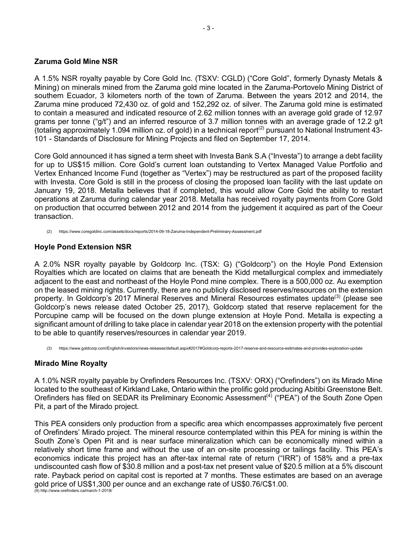## **Zaruma Gold Mine NSR**

A 1.5% NSR royalty payable by Core Gold Inc. (TSXV: CGLD) ("Core Gold", formerly Dynasty Metals & Mining) on minerals mined from the Zaruma gold mine located in the Zaruma-Portovelo Mining District of southern Ecuador, 3 kilometers north of the town of Zaruma. Between the years 2012 and 2014, the Zaruma mine produced 72,430 oz. of gold and 152,292 oz. of silver. The Zaruma gold mine is estimated to contain a measured and indicated resource of 2.62 million tonnes with an average gold grade of 12.97 grams per tonne ("g/t") and an inferred resource of 3.7 million tonnes with an average grade of 12.2 g/t (totaling approximately 1.094 million oz. of gold) in a technical report<sup>(2)</sup> pursuant to National Instrument 43-101 - Standards of Disclosure for Mining Projects and filed on September 17, 2014.

Core Gold announced it has signed a term sheet with Investa Bank S.A ("Investa") to arrange a debt facility for up to US\$15 million. Core Gold's current loan outstanding to Vertex Managed Value Portfolio and Vertex Enhanced Income Fund (together as "Vertex") may be restructured as part of the proposed facility with Investa. Core Gold is still in the process of closing the proposed loan facility with the last update on January 19, 2018. Metalla believes that if completed, this would allow Core Gold the ability to restart operations at Zaruma during calendar year 2018. Metalla has received royalty payments from Core Gold on production that occurred between 2012 and 2014 from the judgement it acquired as part of the Coeur transaction.

(2) https://www.coregoldinc.com/assets/docs/reports/2014-09-18-Zaruma-Independent-Preliminary-Assessment.pdf

# **Hoyle Pond Extension NSR**

A 2.0% NSR royalty payable by Goldcorp Inc. (TSX: G) ("Goldcorp") on the Hoyle Pond Extension Royalties which are located on claims that are beneath the Kidd metallurgical complex and immediately adjacent to the east and northeast of the Hoyle Pond mine complex. There is a 500,000 oz. Au exemption on the leased mining rights. Currently, there are no publicly disclosed reserves/resources on the extension property. In Goldcorp's 2017 Mineral Reserves and Mineral Resources estimates update<sup>(3)</sup> (please see Goldcorp's news release dated October 25, 2017), Goldcorp stated that reserve replacement for the Porcupine camp will be focused on the down plunge extension at Hoyle Pond. Metalla is expecting a significant amount of drilling to take place in calendar year 2018 on the extension property with the potential to be able to quantify reserves/resources in calendar year 2019.

(3) https://www.goldcorp.com/English/investors/news-releases/default.aspx#2017#Goldcorp-reports-2017-reserve-and-resource-estimates-and-provides-exploration-update

# **Mirado Mine Royalty**

A 1.0% NSR royalty payable by Orefinders Resources Inc. (TSXV: ORX) ("Orefinders") on its Mirado Mine located to the southeast of Kirkland Lake, Ontario within the prolific gold producing Abitibi Greenstone Belt. Orefinders has filed on SEDAR its Preliminary Economic Assessment<sup>(4)</sup> ("PEA") of the South Zone Open Pit, a part of the Mirado project.

This PEA considers only production from a specific area which encompasses approximately five percent of Orefinders' Mirado project. The mineral resource contemplated within this PEA for mining is within the South Zone's Open Pit and is near surface mineralization which can be economically mined within a relatively short time frame and without the use of an on-site processing or tailings facility. This PEA's economics indicate this project has an after-tax internal rate of return ("IRR") of 158% and a pre-tax undiscounted cash flow of \$30.8 million and a post-tax net present value of \$20.5 million at a 5% discount rate. Payback period on capital cost is reported at 7 months. These estimates are based on an average gold price of US\$1,300 per ounce and an exchange rate of US\$0.76/C\$1.00. (4) http://www.orefinders.ca/march-1-2018/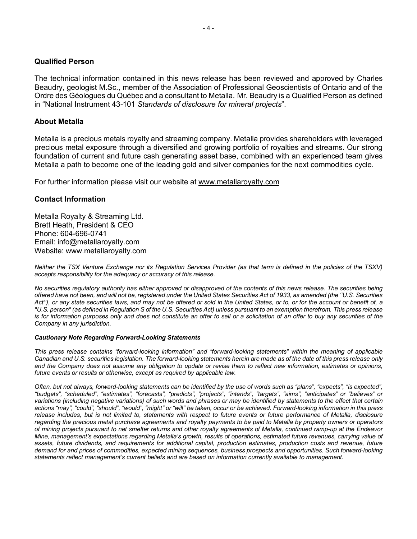### **Qualified Person**

The technical information contained in this news release has been reviewed and approved by Charles Beaudry, geologist M.Sc., member of the Association of Professional Geoscientists of Ontario and of the Ordre des Géologues du Québec and a consultant to Metalla. Mr. Beaudry is a Qualified Person as defined in "National Instrument 43-101 *Standards of disclosure for mineral projects*".

#### **About Metalla**

Metalla is a precious metals royalty and streaming company. Metalla provides shareholders with leveraged precious metal exposure through a diversified and growing portfolio of royalties and streams. Our strong foundation of current and future cash generating asset base, combined with an experienced team gives Metalla a path to become one of the leading gold and silver companies for the next commodities cycle.

For further information please visit our website at www.metallaroyalty.com

#### **Contact Information**

Metalla Royalty & Streaming Ltd. Brett Heath, President & CEO Phone: 604-696-0741 Email: info@metallaroyalty.com Website: www.metallaroyalty.com

*Neither the TSX Venture Exchange nor its Regulation Services Provider (as that term is defined in the policies of the TSXV) accepts responsibility for the adequacy or accuracy of this release.*

*No securities regulatory authority has either approved or disapproved of the contents of this news release. The securities being offered have not been, and will not be, registered under the United States Securities Act of 1933, as amended (the ''U.S. Securities Act''), or any state securities laws, and may not be offered or sold in the United States, or to, or for the account or benefit of, a "U.S. person" (as defined in Regulation S of the U.S. Securities Act) unless pursuant to an exemption therefrom. This press release*  is for information purposes only and does not constitute an offer to sell or a solicitation of an offer to buy any securities of the *Company in any jurisdiction.*

#### *Cautionary Note Regarding Forward-Looking Statements*

*This press release contains "forward-looking information" and "forward-looking statements" within the meaning of applicable Canadian and U.S. securities legislation. The forward-looking statements herein are made as of the date of this press release only and the Company does not assume any obligation to update or revise them to reflect new information, estimates or opinions, future events or results or otherwise, except as required by applicable law.* 

*Often, but not always, forward-looking statements can be identified by the use of words such as "plans", "expects", "is expected", "budgets", "scheduled", "estimates", "forecasts", "predicts", "projects", "intends", "targets", "aims", "anticipates" or "believes" or variations (including negative variations) of such words and phrases or may be identified by statements to the effect that certain actions "may", "could", "should", "would", "might" or "will" be taken, occur or be achieved. Forward-looking information in this press release includes, but is not limited to, statements with respect to future events or future performance of Metalla, disclosure regarding the precious metal purchase agreements and royalty payments to be paid to Metalla by property owners or operators of mining projects pursuant to net smelter returns and other royalty agreements of Metalla, continued ramp-up at the Endeavor Mine, management's expectations regarding Metalla's growth, results of operations, estimated future revenues, carrying value of assets, future dividends, and requirements for additional capital, production estimates, production costs and revenue, future demand for and prices of commodities, expected mining sequences, business prospects and opportunities. Such forward-looking*  statements reflect management's current beliefs and are based on information currently available to management.